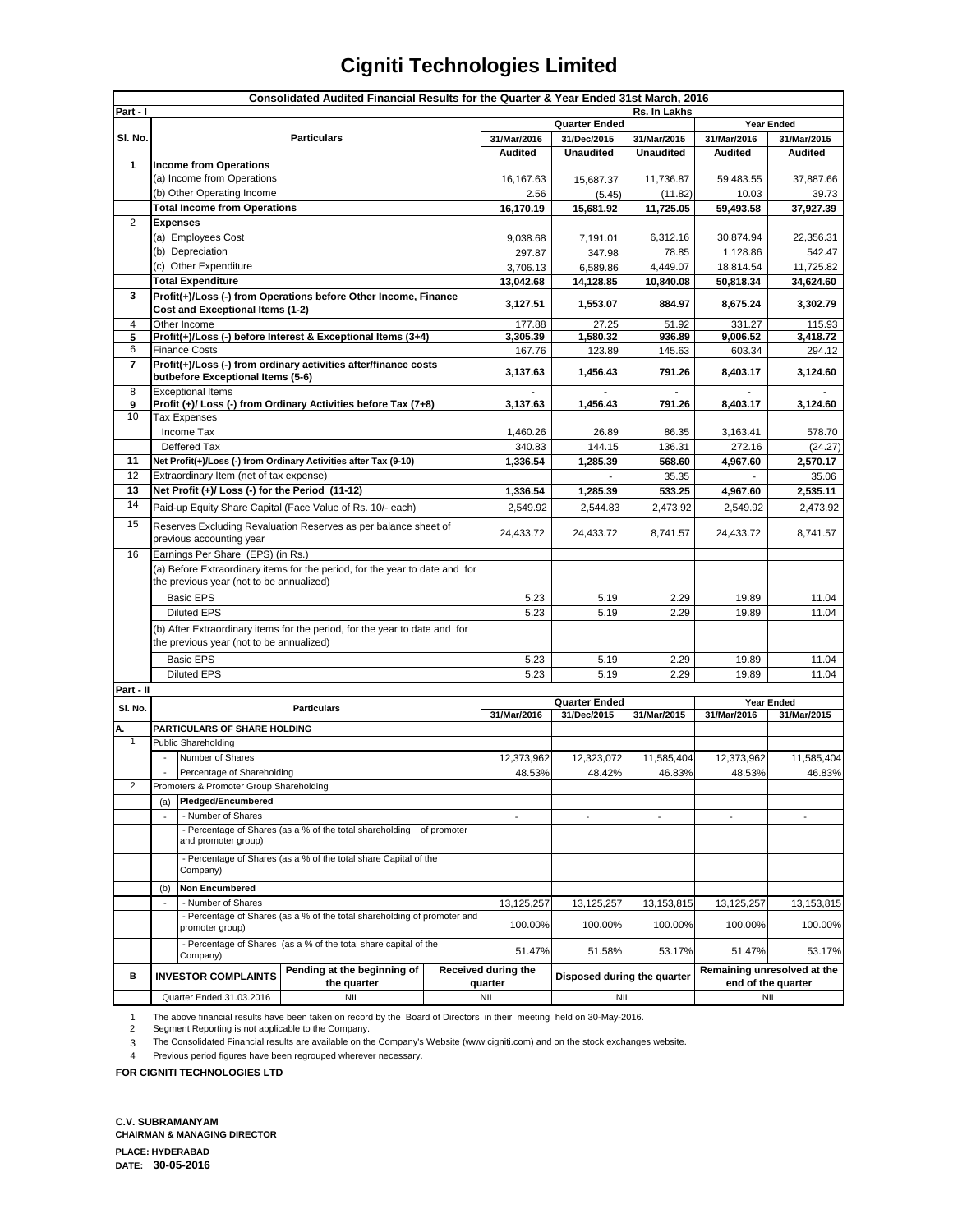|                          | Consolidated Audited Financial Results for the Quarter & Year Ended 31st March, 2016                                   |                                                                              |                                                                  |             |                                    |                             |                  |                                  |                             |  |
|--------------------------|------------------------------------------------------------------------------------------------------------------------|------------------------------------------------------------------------------|------------------------------------------------------------------|-------------|------------------------------------|-----------------------------|------------------|----------------------------------|-----------------------------|--|
| Part - I<br>Rs. In Lakhs |                                                                                                                        |                                                                              |                                                                  |             |                                    |                             |                  |                                  |                             |  |
|                          |                                                                                                                        |                                                                              |                                                                  |             | <b>Quarter Ended</b><br>Year Ended |                             |                  |                                  |                             |  |
| SI. No.                  | <b>Particulars</b>                                                                                                     |                                                                              |                                                                  | 31/Mar/2016 | 31/Dec/2015                        | 31/Mar/2015                 | 31/Mar/2016      | 31/Mar/2015                      |                             |  |
|                          |                                                                                                                        |                                                                              |                                                                  |             | Audited                            | <b>Unaudited</b>            | <b>Unaudited</b> | Audited                          | Audited                     |  |
| 1                        |                                                                                                                        | <b>Income from Operations</b>                                                |                                                                  |             |                                    |                             |                  |                                  |                             |  |
|                          |                                                                                                                        | (a) Income from Operations                                                   |                                                                  |             | 16,167.63                          | 15,687.37                   | 11,736.87        | 59,483.55                        | 37,887.66                   |  |
|                          |                                                                                                                        | (b) Other Operating Income                                                   |                                                                  |             | 2.56                               | (5.45)                      | (11.82)          | 10.03                            | 39.73                       |  |
|                          |                                                                                                                        | <b>Total Income from Operations</b>                                          |                                                                  |             | 16,170.19                          | 15,681.92                   | 11,725.05        | 59,493.58                        | 37,927.39                   |  |
| $\overline{2}$           | <b>Expenses</b>                                                                                                        |                                                                              |                                                                  |             |                                    |                             |                  |                                  |                             |  |
|                          |                                                                                                                        | (a) Employees Cost                                                           |                                                                  |             | 9,038.68                           | 7,191.01                    | 6,312.16         | 30,874.94                        | 22,356.31                   |  |
|                          |                                                                                                                        | (b) Depreciation                                                             |                                                                  |             | 297.87                             | 347.98                      | 78.85            | 1,128.86                         | 542.47                      |  |
|                          |                                                                                                                        | (c) Other Expenditure                                                        |                                                                  |             | 3,706.13                           | 6,589.86                    | 4,449.07         | 18,814.54                        | 11,725.82                   |  |
|                          |                                                                                                                        | <b>Total Expenditure</b>                                                     |                                                                  |             | 13,042.68                          | 14,128.85                   | 10,840.08        | 50,818.34                        | 34,624.60                   |  |
| 3                        |                                                                                                                        |                                                                              | Profit(+)/Loss (-) from Operations before Other Income, Finance  |             |                                    |                             |                  |                                  |                             |  |
|                          |                                                                                                                        | Cost and Exceptional Items (1-2)                                             |                                                                  |             | 3,127.51                           | 1,553.07                    | 884.97           | 8,675.24                         | 3,302.79                    |  |
| 4                        |                                                                                                                        | Other Income                                                                 |                                                                  |             | 177.88                             | 27.25                       | 51.92            | 331.27                           | 115.93                      |  |
| 5                        |                                                                                                                        |                                                                              | Profit(+)/Loss (-) before Interest & Exceptional Items (3+4)     |             | 3,305.39                           | 1,580.32                    | 936.89           | 9,006.52                         | 3,418.72                    |  |
| 6                        |                                                                                                                        | <b>Finance Costs</b>                                                         |                                                                  |             | 167.76                             | 123.89                      | 145.63           | 603.34                           | 294.12                      |  |
| $\overline{7}$           |                                                                                                                        |                                                                              | Profit(+)/Loss (-) from ordinary activities after/finance costs  |             | 3,137.63                           | 1,456.43                    | 791.26           | 8,403.17                         | 3,124.60                    |  |
|                          |                                                                                                                        | butbefore Exceptional Items (5-6)                                            |                                                                  |             |                                    |                             |                  |                                  |                             |  |
| 8                        |                                                                                                                        | <b>Exceptional Items</b>                                                     |                                                                  |             |                                    |                             | ٠                | $\overline{\phantom{a}}$         |                             |  |
| 9                        |                                                                                                                        |                                                                              | Profit (+)/ Loss (-) from Ordinary Activities before Tax (7+8)   |             | 3,137.63                           | 1,456.43                    | 791.26           | 8,403.17                         | 3,124.60                    |  |
| 10                       |                                                                                                                        | <b>Tax Expenses</b>                                                          |                                                                  |             |                                    |                             |                  |                                  |                             |  |
|                          |                                                                                                                        | Income Tax                                                                   |                                                                  |             | 1,460.26                           | 26.89                       | 86.35            | 3,163.41                         | 578.70                      |  |
|                          |                                                                                                                        | Deffered Tax                                                                 |                                                                  |             | 340.83                             | 144.15                      | 136.31           | 272.16                           | (24.27)                     |  |
| 11                       |                                                                                                                        |                                                                              | Net Profit(+)/Loss (-) from Ordinary Activities after Tax (9-10) |             | 1,336.54                           | 1,285.39                    | 568.60           | 4,967.60                         | 2,570.17                    |  |
| 12                       |                                                                                                                        | Extraordinary Item (net of tax expense)                                      |                                                                  |             |                                    |                             | 35.35            |                                  | 35.06                       |  |
| 13                       |                                                                                                                        | Net Profit (+)/ Loss (-) for the Period (11-12)                              |                                                                  |             | 1,336.54                           | 1,285.39                    | 533.25           | 4,967.60                         | 2,535.11                    |  |
| 14                       |                                                                                                                        |                                                                              | Paid-up Equity Share Capital (Face Value of Rs. 10/- each)       |             | 2.549.92                           | 2,544.83                    | 2,473.92         | 2,549.92                         | 2,473.92                    |  |
| 15                       |                                                                                                                        |                                                                              | Reserves Excluding Revaluation Reserves as per balance sheet of  |             |                                    |                             |                  |                                  |                             |  |
|                          | previous accounting year                                                                                               |                                                                              | 24,433.72                                                        | 24,433.72   | 8,741.57                           | 24,433.72                   | 8,741.57         |                                  |                             |  |
| 16                       | Earnings Per Share (EPS) (in Rs.)                                                                                      |                                                                              |                                                                  |             |                                    |                             |                  |                                  |                             |  |
|                          | (a) Before Extraordinary items for the period, for the year to date and for                                            |                                                                              |                                                                  |             |                                    |                             |                  |                                  |                             |  |
|                          |                                                                                                                        | the previous year (not to be annualized)                                     |                                                                  |             |                                    |                             |                  |                                  |                             |  |
|                          |                                                                                                                        | <b>Basic EPS</b>                                                             |                                                                  | 5.23        | 5.19                               | 2.29                        | 19.89            | 11.04                            |                             |  |
|                          |                                                                                                                        | <b>Diluted EPS</b>                                                           |                                                                  | 5.23        | 5.19                               | 2.29                        | 19.89            | 11.04                            |                             |  |
|                          |                                                                                                                        |                                                                              |                                                                  |             |                                    |                             |                  |                                  |                             |  |
|                          | (b) After Extraordinary items for the period, for the year to date and for<br>the previous year (not to be annualized) |                                                                              |                                                                  |             |                                    |                             |                  |                                  |                             |  |
|                          |                                                                                                                        |                                                                              |                                                                  |             |                                    |                             |                  |                                  |                             |  |
|                          | <b>Basic EPS</b>                                                                                                       |                                                                              |                                                                  | 5.23        | 5.19                               | 2.29                        | 19.89            | 11.04                            |                             |  |
|                          | <b>Diluted EPS</b>                                                                                                     |                                                                              |                                                                  |             | 5.23                               | 5.19                        | 2.29             | 19.89                            | 11.04                       |  |
| Part - II                |                                                                                                                        |                                                                              |                                                                  |             |                                    |                             |                  |                                  |                             |  |
| SI. No.                  |                                                                                                                        |                                                                              | <b>Particulars</b>                                               |             |                                    | <b>Quarter Ended</b>        |                  |                                  | Year Ended                  |  |
|                          |                                                                                                                        |                                                                              |                                                                  |             | 31/Mar/2016                        | 31/Dec/2015                 | 31/Mar/2015      | 31/Mar/2016                      | 31/Mar/2015                 |  |
| А.<br>$\mathbf{1}$       |                                                                                                                        | PARTICULARS OF SHARE HOLDING<br>Public Shareholding                          |                                                                  |             |                                    |                             |                  |                                  |                             |  |
|                          |                                                                                                                        |                                                                              |                                                                  |             |                                    |                             |                  |                                  |                             |  |
|                          |                                                                                                                        | Number of Shares                                                             |                                                                  |             | 12,373,962                         | 12,323,072                  | 11,585,404       | 12,373,962                       | 11,585,404                  |  |
| 2                        |                                                                                                                        | Percentage of Shareholding                                                   |                                                                  |             | 48.53%                             | 48.42%                      | 46.83%           | 48.53%                           | 46.83%                      |  |
|                          |                                                                                                                        | Promoters & Promoter Group Shareholding                                      |                                                                  |             |                                    |                             |                  |                                  |                             |  |
|                          | Pledged/Encumbered<br>(a)                                                                                              |                                                                              |                                                                  |             |                                    |                             |                  |                                  |                             |  |
|                          |                                                                                                                        | - Number of Shares                                                           |                                                                  |             | $\blacksquare$                     | ÷,                          |                  |                                  |                             |  |
|                          | - Percentage of Shares (as a % of the total shareholding of promoter<br>and promoter group)                            |                                                                              |                                                                  |             |                                    |                             |                  |                                  |                             |  |
|                          |                                                                                                                        | - Percentage of Shares (as a % of the total share Capital of the<br>Company) |                                                                  |             |                                    |                             |                  |                                  |                             |  |
|                          |                                                                                                                        |                                                                              |                                                                  |             |                                    |                             |                  |                                  |                             |  |
|                          |                                                                                                                        |                                                                              |                                                                  |             |                                    |                             |                  |                                  |                             |  |
|                          | (b)                                                                                                                    | <b>Non Encumbered</b>                                                        |                                                                  |             |                                    |                             |                  |                                  |                             |  |
|                          | - Number of Shares<br>$\overline{\phantom{a}}$                                                                         |                                                                              |                                                                  | 13,125,257  | 13,125,257                         | 13,153,815                  | 13, 125, 257     | 13,153,815                       |                             |  |
|                          | - Percentage of Shares (as a % of the total shareholding of promoter and                                               |                                                                              | 100.00%                                                          | 100.00%     | 100.00%                            | 100.00%                     | 100.00%          |                                  |                             |  |
|                          |                                                                                                                        | promoter group)                                                              |                                                                  |             |                                    |                             |                  |                                  |                             |  |
|                          |                                                                                                                        | - Percentage of Shares (as a % of the total share capital of the             |                                                                  |             | 51.47%                             | 51.58%                      | 53.17%           | 51.47%                           | 53.17%                      |  |
|                          |                                                                                                                        | Company)                                                                     | Pending at the beginning of                                      |             |                                    |                             |                  |                                  |                             |  |
| в                        |                                                                                                                        | <b>INVESTOR COMPLAINTS</b>                                                   | the quarter                                                      |             | Received during the<br>quarter     | Disposed during the quarter |                  |                                  | Remaining unresolved at the |  |
|                          | Quarter Ended 31.03.2016                                                                                               |                                                                              | <b>NIL</b>                                                       |             | <b>NIL</b>                         | <b>NIL</b>                  |                  | end of the quarter<br><b>NIL</b> |                             |  |
|                          |                                                                                                                        |                                                                              |                                                                  |             |                                    |                             |                  |                                  |                             |  |

1 The above financial results have been taken on record by the Board of Directors in their meeting held on 30-May-2016. 2

Segment Reporting is not applicable to the Company.

The Consolidated Financial results are available on the Company's Website (www.cigniti.com) and on the stock exchanges website.

3 The Consolidated Financial results are available on the Company's<br>4 Previous period figures have been regrouped wherever necessary.

**FOR CIGNITI TECHNOLOGIES LTD**

**C.V. SUBRAMANYAM CHAIRMAN & MANAGING DIRECTOR PLACE: HYDERABAD DATE: 30-05-2016**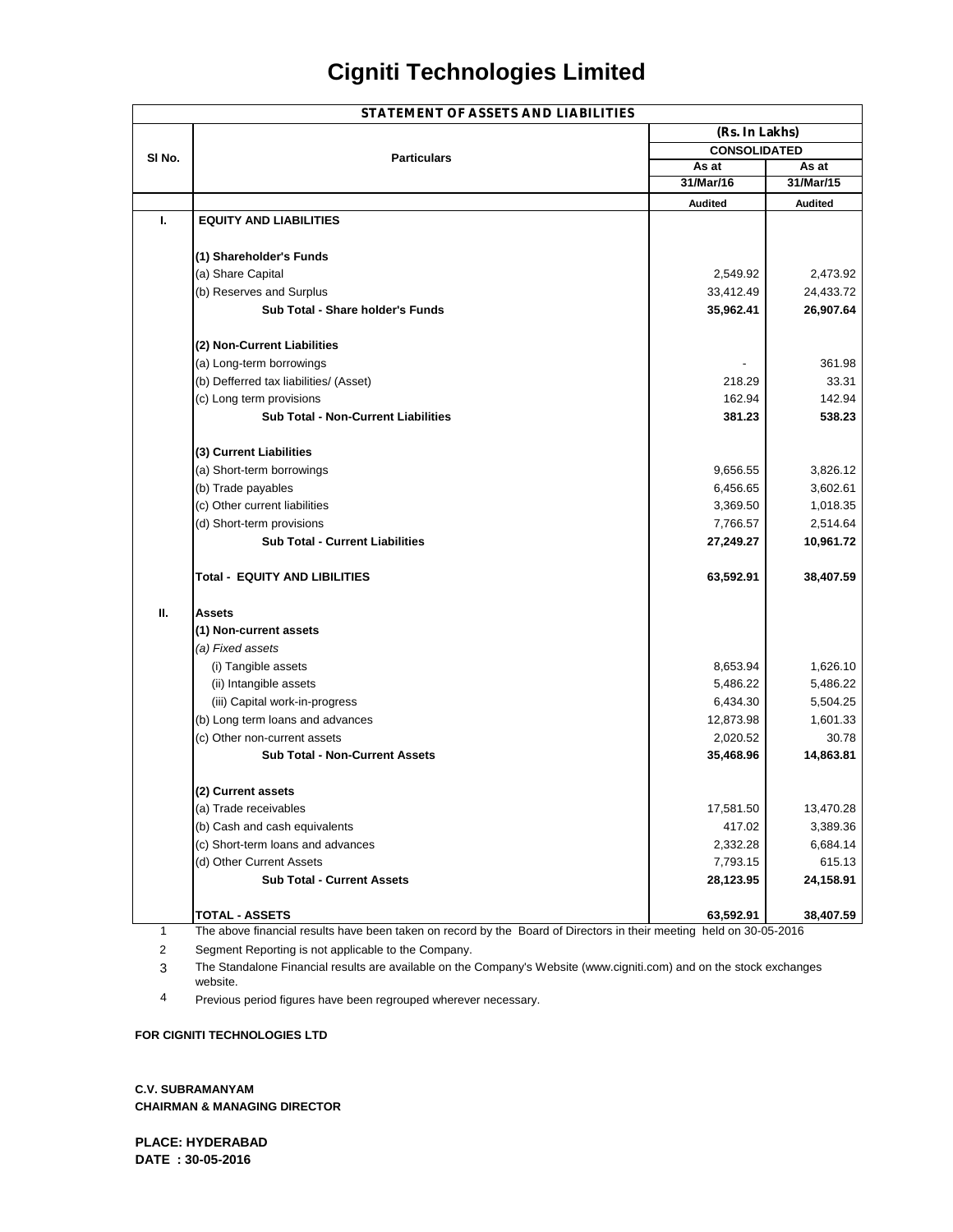|                   | <b>STATEMENT OF ASSETS AND LIABILITIES</b>                                                                          |                     |                |  |  |
|-------------------|---------------------------------------------------------------------------------------------------------------------|---------------------|----------------|--|--|
|                   |                                                                                                                     | (Rs. In Lakhs)      |                |  |  |
|                   |                                                                                                                     | <b>CONSOLIDATED</b> |                |  |  |
| SI <sub>No.</sub> | <b>Particulars</b>                                                                                                  | As at               | As at          |  |  |
|                   |                                                                                                                     | 31/Mar/16           | 31/Mar/15      |  |  |
|                   |                                                                                                                     | <b>Audited</b>      | <b>Audited</b> |  |  |
| L.                | <b>EQUITY AND LIABILITIES</b>                                                                                       |                     |                |  |  |
|                   | (1) Shareholder's Funds                                                                                             |                     |                |  |  |
|                   | (a) Share Capital                                                                                                   | 2,549.92            | 2,473.92       |  |  |
|                   | (b) Reserves and Surplus                                                                                            | 33,412.49           | 24,433.72      |  |  |
|                   | Sub Total - Share holder's Funds                                                                                    | 35,962.41           | 26,907.64      |  |  |
|                   | (2) Non-Current Liabilities                                                                                         |                     |                |  |  |
|                   | (a) Long-term borrowings                                                                                            |                     | 361.98         |  |  |
|                   | (b) Defferred tax liabilities/ (Asset)                                                                              | 218.29              | 33.31          |  |  |
|                   | (c) Long term provisions                                                                                            | 162.94              | 142.94         |  |  |
|                   | <b>Sub Total - Non-Current Liabilities</b>                                                                          | 381.23              | 538.23         |  |  |
|                   | (3) Current Liabilities                                                                                             |                     |                |  |  |
|                   | (a) Short-term borrowings                                                                                           | 9,656.55            | 3.826.12       |  |  |
|                   | (b) Trade payables                                                                                                  | 6,456.65            | 3,602.61       |  |  |
|                   | (c) Other current liabilities                                                                                       | 3,369.50            | 1,018.35       |  |  |
|                   | (d) Short-term provisions                                                                                           | 7,766.57            | 2,514.64       |  |  |
|                   | <b>Sub Total - Current Liabilities</b>                                                                              | 27,249.27           | 10,961.72      |  |  |
|                   | Total - EQUITY AND LIBILITIES                                                                                       | 63,592.91           | 38,407.59      |  |  |
| П.                | Assets                                                                                                              |                     |                |  |  |
|                   | (1) Non-current assets                                                                                              |                     |                |  |  |
|                   | (a) Fixed assets                                                                                                    |                     |                |  |  |
|                   | (i) Tangible assets                                                                                                 | 8,653.94            | 1,626.10       |  |  |
|                   | (ii) Intangible assets                                                                                              | 5,486.22            | 5,486.22       |  |  |
|                   | (iii) Capital work-in-progress                                                                                      | 6,434.30            | 5,504.25       |  |  |
|                   | (b) Long term loans and advances                                                                                    | 12,873.98           | 1,601.33       |  |  |
|                   | (c) Other non-current assets                                                                                        | 2,020.52            | 30.78          |  |  |
|                   | <b>Sub Total - Non-Current Assets</b>                                                                               | 35,468.96           | 14,863.81      |  |  |
|                   | (2) Current assets                                                                                                  |                     |                |  |  |
|                   | (a) Trade receivables                                                                                               | 17,581.50           | 13,470.28      |  |  |
|                   | (b) Cash and cash equivalents                                                                                       | 417.02              | 3,389.36       |  |  |
|                   | (c) Short-term loans and advances                                                                                   | 2,332.28            | 6,684.14       |  |  |
|                   | (d) Other Current Assets                                                                                            | 7,793.15            | 615.13         |  |  |
|                   | <b>Sub Total - Current Assets</b>                                                                                   | 28,123.95           | 24,158.91      |  |  |
|                   | <b>TOTAL - ASSETS</b>                                                                                               | 63,592.91           | 38,407.59      |  |  |
| 1                 | The above financial results have been taken on record by the Board of Directors in their meeting held on 30-05-2016 |                     |                |  |  |

2 Segment Reporting is not applicable to the Company.

3 The Standalone Financial results are available on the Company's Website (www.cigniti.com) and on the stock exchanges website.

4 Previous period figures have been regrouped wherever necessary.

#### **FOR CIGNITI TECHNOLOGIES LTD**

**C.V. SUBRAMANYAM CHAIRMAN & MANAGING DIRECTOR**

**PLACE: HYDERABAD DATE : 30-05-2016**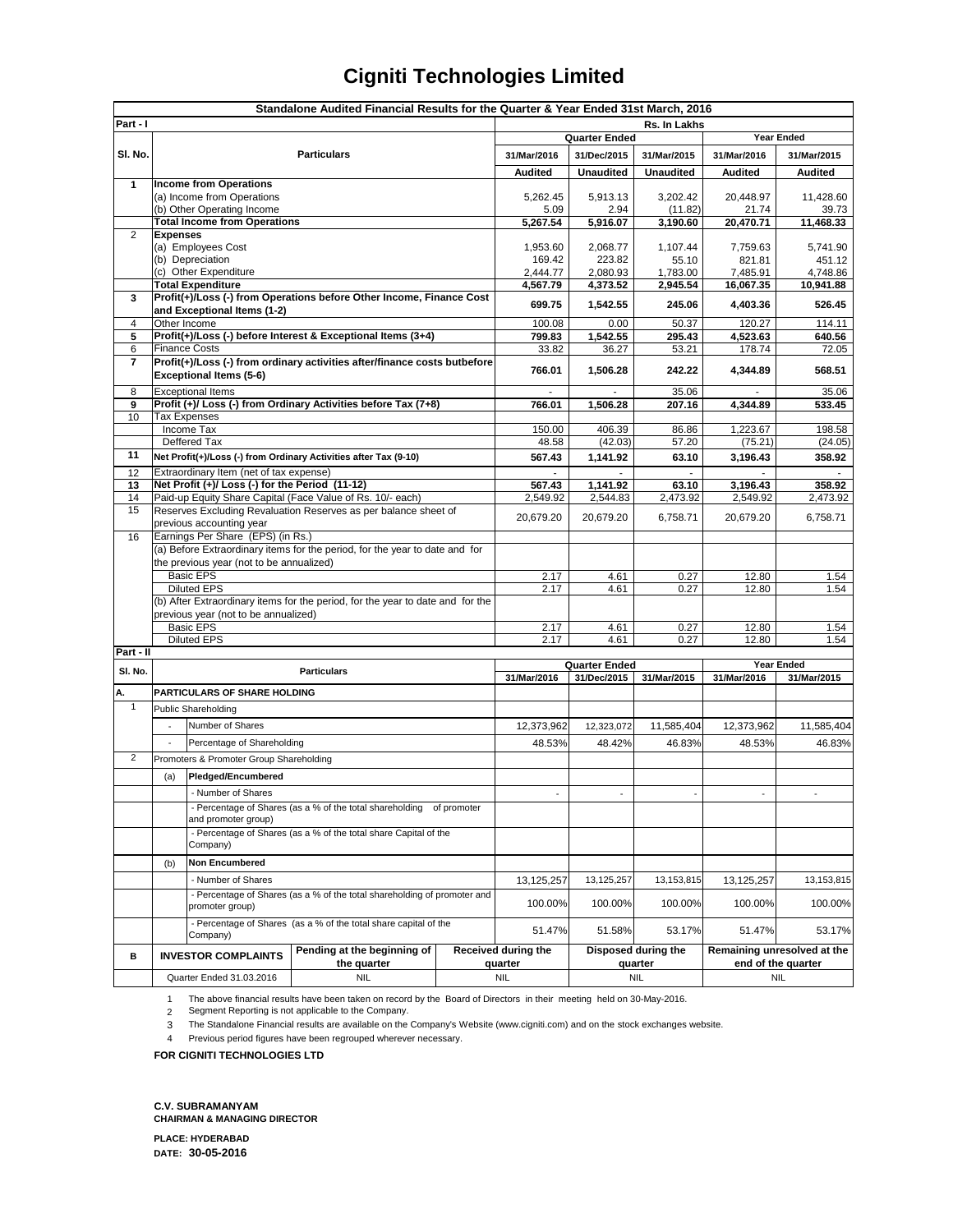|                | Standalone Audited Financial Results for the Quarter & Year Ended 31st March, 2016                          |                                                                              |                                                                      |              |                                     |                                |                      |                                                   |                       |
|----------------|-------------------------------------------------------------------------------------------------------------|------------------------------------------------------------------------------|----------------------------------------------------------------------|--------------|-------------------------------------|--------------------------------|----------------------|---------------------------------------------------|-----------------------|
| Part - I       |                                                                                                             |                                                                              |                                                                      | Rs. In Lakhs |                                     |                                |                      |                                                   |                       |
|                |                                                                                                             |                                                                              |                                                                      |              | <b>Quarter Ended</b>                |                                |                      | <b>Year Ended</b>                                 |                       |
| SI. No.        | <b>Particulars</b>                                                                                          |                                                                              | 31/Mar/2016                                                          | 31/Dec/2015  | 31/Mar/2015                         | 31/Mar/2016                    | 31/Mar/2015          |                                                   |                       |
|                |                                                                                                             |                                                                              |                                                                      |              | <b>Audited</b>                      | <b>Unaudited</b>               | <b>Unaudited</b>     | Audited                                           | <b>Audited</b>        |
| 1              |                                                                                                             | <b>Income from Operations</b>                                                |                                                                      |              |                                     |                                |                      |                                                   |                       |
|                |                                                                                                             | (a) Income from Operations                                                   |                                                                      |              | 5,262.45<br>5.09                    | 5,913.13<br>2.94               | 3,202.42<br>(11.82)  | 20,448.97<br>21.74                                | 11,428.60<br>39.73    |
|                |                                                                                                             | (b) Other Operating Income<br><b>Total Income from Operations</b>            |                                                                      | 5,267.54     | 5,916.07                            | 3,190.60                       | 20,470.71            | 11,468.33                                         |                       |
| 2              | <b>Expenses</b>                                                                                             |                                                                              |                                                                      |              |                                     |                                |                      |                                                   |                       |
|                |                                                                                                             | (a) Employees Cost                                                           |                                                                      |              | 1,953.60                            | 2,068.77                       | 1,107.44             | 7,759.63                                          | 5,741.90              |
|                | (b) Depreciation<br>(c) Other Expenditure                                                                   |                                                                              | 169.42                                                               | 223.82       | 55.10                               | 821.81                         | 451.12               |                                                   |                       |
|                |                                                                                                             | <b>Total Expenditure</b>                                                     |                                                                      |              | 2,444.77<br>4,567.79                | 2,080.93<br>4,373.52           | 1,783.00<br>2,945.54 | 7,485.91<br>16,067.35                             | 4,748.86<br>10,941.88 |
| 3              |                                                                                                             |                                                                              | Profit(+)/Loss (-) from Operations before Other Income, Finance Cost |              |                                     |                                |                      |                                                   |                       |
|                |                                                                                                             | and Exceptional Items (1-2)                                                  |                                                                      |              | 699.75                              | 1,542.55                       | 245.06               | 4,403.36                                          | 526.45                |
| 4              | Other Income                                                                                                |                                                                              |                                                                      |              | 100.08                              | 0.00                           | 50.37                | 120.27                                            | 114.11                |
| 5              |                                                                                                             |                                                                              | Profit(+)/Loss (-) before Interest & Exceptional Items (3+4)         |              | 799.83                              | 1,542.55                       | 295.43               | 4,523.63                                          | 640.56                |
| 6<br>7         |                                                                                                             | <b>Finance Costs</b>                                                         |                                                                      |              | 33.82                               | 36.27                          | 53.21                | 178.74                                            | 72.05                 |
|                | Profit(+)/Loss (-) from ordinary activities after/finance costs butbefore<br><b>Exceptional Items (5-6)</b> |                                                                              | 766.01                                                               | 1,506.28     | 242.22                              | 4,344.89                       | 568.51               |                                                   |                       |
| 8              |                                                                                                             | <b>Exceptional Items</b>                                                     |                                                                      |              |                                     | 35.06                          |                      | 35.06                                             |                       |
| 9              |                                                                                                             |                                                                              | Profit (+)/ Loss (-) from Ordinary Activities before Tax (7+8)       |              | 766.01                              | 1,506.28                       | 207.16               | 4,344.89                                          | 533.45                |
| 10             |                                                                                                             | <b>Tax Expenses</b>                                                          |                                                                      |              |                                     |                                |                      |                                                   |                       |
|                |                                                                                                             | Income Tax                                                                   |                                                                      |              | 150.00                              | 406.39                         | 86.86                | 1,223.67                                          | 198.58                |
|                |                                                                                                             | Deffered Tax                                                                 |                                                                      |              | 48.58                               | (42.03)                        | 57.20                | (75.21)                                           | (24.05)               |
| 11             |                                                                                                             |                                                                              | Net Profit(+)/Loss (-) from Ordinary Activities after Tax (9-10)     |              | 567.43                              | 1,141.92                       | 63.10                | 3,196.43                                          | 358.92                |
| 12             |                                                                                                             | Extraordinary Item (net of tax expense)                                      |                                                                      |              | $\mathcal{L}_{\mathcal{A}}$         | $\mathcal{L}_{\mathcal{A}}$    | $\sim$               | $\sim$                                            | $\mathbf{r}$          |
| 13             |                                                                                                             | Net Profit (+)/ Loss (-) for the Period (11-12)                              |                                                                      |              | 567.43                              | 1,141.92                       | 63.10<br>2,473.92    | 3,196.43                                          | 358.92                |
| 14<br>15       |                                                                                                             |                                                                              | Paid-up Equity Share Capital (Face Value of Rs. 10/- each)           |              | 2,549.92                            | 2,544.83                       |                      | 2,549.92                                          | 2,473.92              |
|                | Reserves Excluding Revaluation Reserves as per balance sheet of<br>previous accounting year                 |                                                                              | 20,679.20                                                            | 20,679.20    | 6,758.71                            | 20,679.20                      | 6,758.71             |                                                   |                       |
| 16             | Earnings Per Share (EPS) (in Rs.)                                                                           |                                                                              |                                                                      |              |                                     |                                |                      |                                                   |                       |
|                | (a) Before Extraordinary items for the period, for the year to date and for                                 |                                                                              |                                                                      |              |                                     |                                |                      |                                                   |                       |
|                | the previous year (not to be annualized)                                                                    |                                                                              |                                                                      |              |                                     |                                |                      |                                                   |                       |
|                | <b>Basic EPS</b><br><b>Diluted EPS</b>                                                                      |                                                                              | 2.17                                                                 | 4.61<br>4.61 | 0.27<br>0.27                        | 12.80                          | 1.54<br>1.54         |                                                   |                       |
|                | (b) After Extraordinary items for the period, for the year to date and for the                              |                                                                              | 2.17                                                                 |              |                                     | 12.80                          |                      |                                                   |                       |
|                | previous year (not to be annualized)                                                                        |                                                                              |                                                                      |              |                                     |                                |                      |                                                   |                       |
|                | <b>Basic EPS</b>                                                                                            |                                                                              | 2.17                                                                 | 4.61         | 0.27                                | 12.80                          | 1.54                 |                                                   |                       |
|                | <b>Diluted EPS</b>                                                                                          |                                                                              |                                                                      |              | 2.17                                | 4.61                           | 0.27                 | 12.80                                             | 1.54                  |
| Part - II      | <b>Year Ended</b>                                                                                           |                                                                              |                                                                      |              |                                     |                                |                      |                                                   |                       |
| SI. No.        |                                                                                                             | <b>Particulars</b>                                                           |                                                                      | 31/Mar/2016  | <b>Quarter Ended</b><br>31/Dec/2015 | 31/Mar/2015                    | 31/Mar/2016          | 31/Mar/2015                                       |                       |
| А.             |                                                                                                             | PARTICULARS OF SHARE HOLDING                                                 |                                                                      |              |                                     |                                |                      |                                                   |                       |
| $\mathbf{1}$   |                                                                                                             | Public Shareholding                                                          |                                                                      |              |                                     |                                |                      |                                                   |                       |
|                |                                                                                                             | Number of Shares                                                             |                                                                      |              | 12,373,962                          | 12,323,072                     | 11,585,404           | 12,373,962                                        | 11,585,404            |
|                |                                                                                                             |                                                                              |                                                                      |              |                                     |                                |                      |                                                   |                       |
|                | Percentage of Shareholding                                                                                  |                                                                              | 48.53%                                                               | 48.42%       | 46.83%                              | 48.53%                         | 46.83%               |                                                   |                       |
| $\overline{c}$ | Promoters & Promoter Group Shareholding                                                                     |                                                                              |                                                                      |              |                                     |                                |                      |                                                   |                       |
|                | (a)                                                                                                         | Pledged/Encumbered                                                           |                                                                      |              |                                     |                                |                      |                                                   |                       |
|                |                                                                                                             | - Number of Shares                                                           |                                                                      |              |                                     |                                |                      |                                                   |                       |
|                | - Percentage of Shares (as a % of the total shareholding of promoter                                        |                                                                              |                                                                      |              |                                     |                                |                      |                                                   |                       |
|                | and promoter group)<br>- Percentage of Shares (as a % of the total share Capital of the                     |                                                                              |                                                                      |              |                                     |                                |                      |                                                   |                       |
|                |                                                                                                             | Company)                                                                     |                                                                      |              |                                     |                                |                      |                                                   |                       |
|                | <b>Non Encumbered</b><br>(b)                                                                                |                                                                              |                                                                      |              |                                     |                                |                      |                                                   |                       |
|                | - Number of Shares                                                                                          |                                                                              | 13,125,257                                                           |              |                                     | 13,125,257                     |                      |                                                   |                       |
|                | - Percentage of Shares (as a % of the total shareholding of promoter and                                    |                                                                              |                                                                      | 13,125,257   | 13,153,815                          |                                | 13,153,815           |                                                   |                       |
|                | promoter group)                                                                                             |                                                                              | 100.00%                                                              | 100.00%      | 100.00%                             | 100.00%                        | 100.00%              |                                                   |                       |
|                |                                                                                                             | - Percentage of Shares (as a % of the total share capital of the<br>Company) |                                                                      | 51.47%       | 51.58%                              | 53.17%                         | 51.47%               | 53.17%                                            |                       |
| в              |                                                                                                             | Pending at the beginning of<br><b>INVESTOR COMPLAINTS</b><br>the quarter     |                                                                      |              | Received during the<br>quarter      | Disposed during the<br>quarter |                      | Remaining unresolved at the<br>end of the quarter |                       |
|                |                                                                                                             | Quarter Ended 31.03.2016                                                     | <b>NIL</b>                                                           |              | <b>NIL</b>                          |                                | <b>NIL</b>           |                                                   | <b>NIL</b>            |

1 The above financial results have been taken on record by the Board of Directors in their meeting held on 30-May-2016.

2 Segment Reporting is not applicable to the Company.

3 The Standalone Financial results are available on the Company's Website (www.cigniti.com) and on the stock exchanges website.

4 Previous period figures have been regrouped wherever necessary.

**FOR CIGNITI TECHNOLOGIES LTD**

**C.V. SUBRAMANYAM CHAIRMAN & MANAGING DIRECTOR**

**PLACE: HYDERABAD DATE: 30-05-2016**